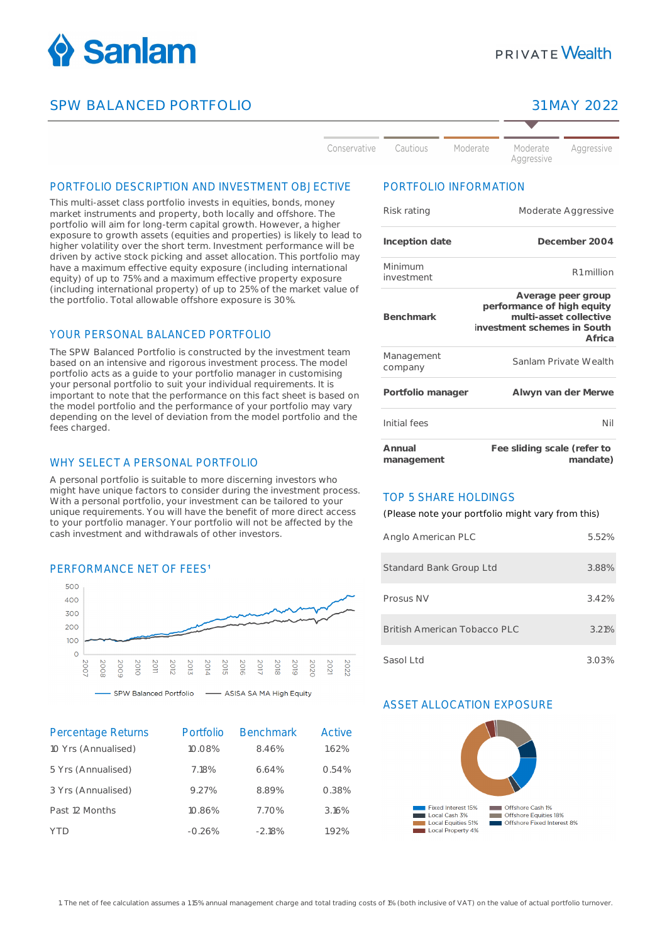

## SPW BALANCED PORTFOLIO 31 MAY 2022

# **PRIVATE Wealth**

| Conservative | Cautious | Moderate | Moderate<br>Aggressive | Aggressive |
|--------------|----------|----------|------------------------|------------|

#### PORTFOLIO DESCRIPTION AND INVESTMENT OBJECTIVE

This multi-asset class portfolio invests in equities, bonds, money market instruments and property, both locally and offshore. The portfolio will aim for long-term capital growth. However, a higher exposure to growth assets (equities and properties) is likely to lead to higher volatility over the short term. Investment performance will be driven by active stock picking and asset allocation. This portfolio may have a maximum effective equity exposure (including international equity) of up to 75% and a maximum effective property exposure (including international property) of up to 25% of the market value of the portfolio. Total allowable offshore exposure is 30%.

### YOUR PERSONAL BALANCED PORTFOLIO

The SPW Balanced Portfolio is constructed by the investment team based on an intensive and rigorous investment process. The model portfolio acts as a guide to your portfolio manager in customising your personal portfolio to suit your individual requirements. It is important to note that the performance on this fact sheet is based on the model portfolio and the performance of your portfolio may vary depending on the level of deviation from the model portfolio and the fees charged.

#### WHY SELECT A PERSONAL PORTEOLIO

A personal portfolio is suitable to more discerning investors who might have unique factors to consider during the investment process. With a personal portfolio, your investment can be tailored to your unique requirements. You will have the benefit of more direct access to your portfolio manager. Your portfolio will not be affected by the cash investment and withdrawals of other investors.

#### PERFORMANCE NET OF FFES<sup>1</sup>



| <b>Percentage Returns</b><br>10 Yrs (Annualised) | Portfolio<br>10.08% | <b>Benchmark</b><br>8.46% | Active<br>1.62% |
|--------------------------------------------------|---------------------|---------------------------|-----------------|
| 5 Yrs (Annualised)                               | 7.18%               | 6.64%                     | 0.54%           |
| 3 Yrs (Annualised)                               | 9.27%               | 8.89%                     | 0.38%           |
| Past 12 Months                                   | 10.86%              | 7.70%                     | 3.16%           |
|                                                  | $-0.26%$            | $-2.18%$                  | 1.92%           |

#### PORTFOLIO INFORMATION

| Risk rating           | Moderate Aggressive                                                                                                 |
|-----------------------|---------------------------------------------------------------------------------------------------------------------|
| Inception date        | December 2004                                                                                                       |
| Minimum<br>investment | R <sub>1</sub> million                                                                                              |
| <b>Benchmark</b>      | Average peer group<br>performance of high equity<br>multi-asset collective<br>investment schemes in South<br>Africa |
| Management<br>company | Sanlam Private Wealth                                                                                               |
| Portfolio manager     | Alwyn van der Merwe                                                                                                 |
| Initial fees          | Nil                                                                                                                 |
| Annual<br>management  | Fee sliding scale (refer to<br>mandate)                                                                             |

#### TOP 5 SHARE HOLDINGS

(Please note your portfolio might vary from this)

| Anglo American PLC           | 5.52% |
|------------------------------|-------|
| Standard Bank Group Ltd      | 3.88% |
| Prosus NV                    | 3.42% |
| British American Tobacco PLC | 3.21% |
| Sasol Ltd                    | 3.03% |

#### ASSET ALLOCATION EXPOSURE



1. The net of fee calculation assumes a 1.15% annual management charge and total trading costs of 1% (both inclusive of VAT) on the value of actual portfolio turnover